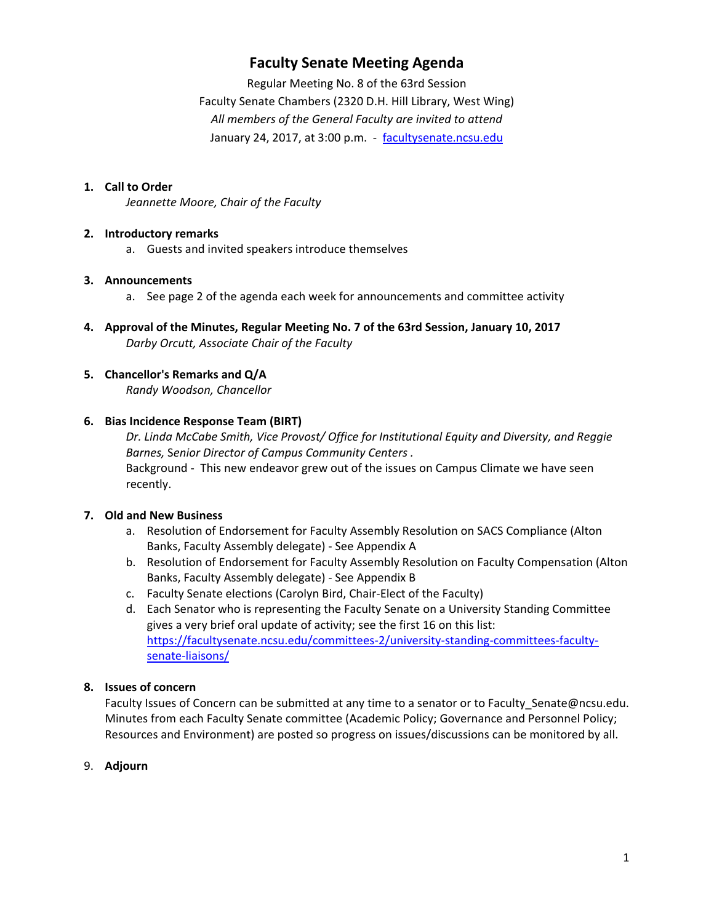## **Faculty Senate Meeting Agenda**

Regular Meeting No. 8 of the 63rd Session Faculty Senate Chambers (2320 D.H. Hill Library, West Wing) *All members of the General Faculty are invited to attend* January 24, 2017, at 3:00 p.m. ‐ facultysenate.ncsu.edu

#### **1. Call to Order**

*Jeannette Moore, Chair of the Faculty*

#### **2. Introductory remarks**

a. Guests and invited speakers introduce themselves

#### **3. Announcements**

- a. See page 2 of the agenda each week for announcements and committee activity
- **4. Approval of the Minutes, Regular Meeting No. 7 of the 63rd Session, January 10, 2017** *Darby Orcutt, Associate Chair of the Faculty*
- **5. Chancellor's Remarks and Q/A** *Randy Woodson, Chancellor*

#### **6. Bias Incidence Response Team (BIRT)**

*Dr. Linda McCabe Smith, Vice Provost/ Office for Institutional Equity and Diversity, and Reggie Barnes,* S*enior Director of Campus Community Centers .* Background ‐ This new endeavor grew out of the issues on Campus Climate we have seen recently.

#### **7. Old and New Business**

- a. Resolution of Endorsement for Faculty Assembly Resolution on SACS Compliance (Alton Banks, Faculty Assembly delegate) ‐ See Appendix A
- b. Resolution of Endorsement for Faculty Assembly Resolution on Faculty Compensation (Alton Banks, Faculty Assembly delegate) ‐ See Appendix B
- c. Faculty Senate elections (Carolyn Bird, Chair‐Elect of the Faculty)
- d. Each Senator who is representing the Faculty Senate on a University Standing Committee gives a very brief oral update of activity; see the first 16 on this list: https://facultysenate.ncsu.edu/committees-2/university-standing-committees-facultysenate‐liaisons/

#### **8. Issues of concern**

Faculty Issues of Concern can be submitted at any time to a senator or to Faculty\_Senate@ncsu.edu. Minutes from each Faculty Senate committee (Academic Policy; Governance and Personnel Policy; Resources and Environment) are posted so progress on issues/discussions can be monitored by all.

#### 9. **Adjourn**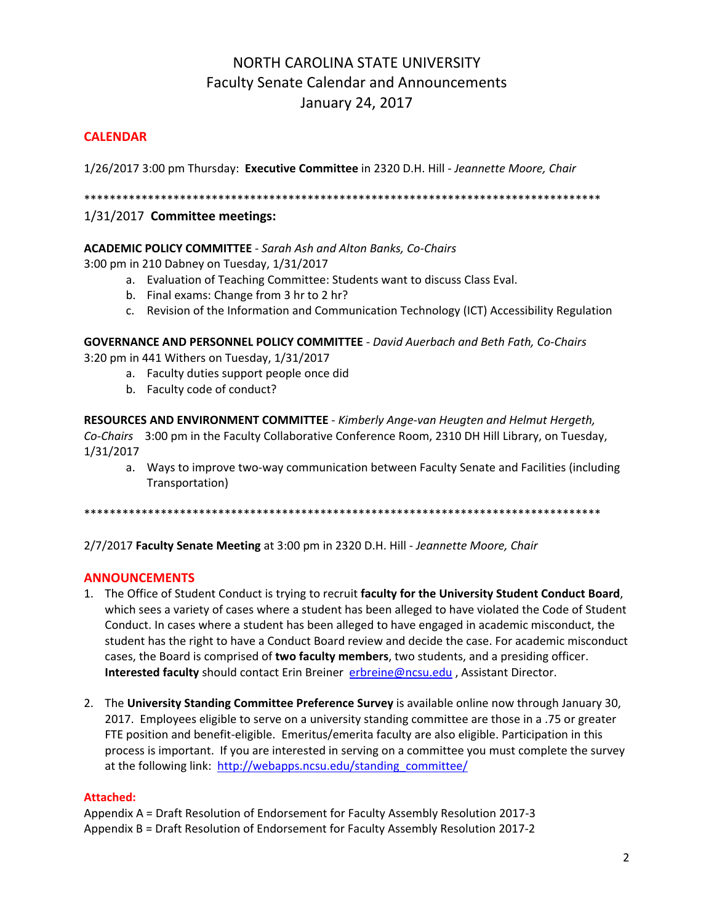# NORTH CAROLINA STATE UNIVERSITY Faculty Senate Calendar and Announcements January 24, 2017

#### **CALENDAR**

1/26/2017 3:00 pm Thursday: **Executive Committee** in 2320 D.H. Hill *‐ Jeannette Moore, Chair*

\*\*\*\*\*\*\*\*\*\*\*\*\*\*\*\*\*\*\*\*\*\*\*\*\*\*\*\*\*\*\*\*\*\*\*\*\*\*\*\*\*\*\*\*\*\*\*\*\*\*\*\*\*\*\*\*\*\*\*\*\*\*\*\*\*\*\*\*\*\*\*\*\*\*\*\*\*\*\*\*\*

#### 1/31/2017 **Committee meetings:**

#### **ACADEMIC POLICY COMMITTEE** ‐ *Sarah Ash and Alton Banks, Co‐Chairs*

3:00 pm in 210 Dabney on Tuesday, 1/31/2017

- a. Evaluation of Teaching Committee: Students want to discuss Class Eval.
- b. Final exams: Change from 3 hr to 2 hr?
- c. Revision of the Information and Communication Technology (ICT) Accessibility Regulation

**GOVERNANCE AND PERSONNEL POLICY COMMITTEE** ‐ *David Auerbach and Beth Fath, Co‐Chairs*

3:20 pm in 441 Withers on Tuesday, 1/31/2017

- a. Faculty duties support people once did
- b. Faculty code of conduct?

**RESOURCES AND ENVIRONMENT COMMITTEE** ‐ *Kimberly Ange‐van Heugten and Helmut Hergeth, Co‐Chairs* 3:00 pm in the Faculty Collaborative Conference Room, 2310 DH Hill Library, on Tuesday, 1/31/2017

a. Ways to improve two-way communication between Faculty Senate and Facilities (including Transportation)

\*\*\*\*\*\*\*\*\*\*\*\*\*\*\*\*\*\*\*\*\*\*\*\*\*\*\*\*\*\*\*\*\*\*\*\*\*\*\*\*\*\*\*\*\*\*\*\*\*\*\*\*\*\*\*\*\*\*\*\*\*\*\*\*\*\*\*\*\*\*\*\*\*\*\*\*\*\*\*\*\*

2/7/2017 **Faculty Senate Meeting** at 3:00 pm in 2320 D.H. Hill ‐ *Jeannette Moore, Chair*

#### **ANNOUNCEMENTS**

- 1. The Office of Student Conduct is trying to recruit **faculty for the University Student Conduct Board**, which sees a variety of cases where a student has been alleged to have violated the Code of Student Conduct. In cases where a student has been alleged to have engaged in academic misconduct, the student has the right to have a Conduct Board review and decide the case. For academic misconduct cases, the Board is comprised of **two faculty members**, two students, and a presiding officer. **Interested faculty** should contact Erin Breiner erbreine@ncsu.edu, Assistant Director.
- 2. The **University Standing Committee Preference Survey** is available online now through January 30, 2017. Employees eligible to serve on a university standing committee are those in a .75 or greater FTE position and benefit‐eligible. Emeritus/emerita faculty are also eligible. Participation in this process is important. If you are interested in serving on a committee you must complete the survey at the following link: http://webapps.ncsu.edu/standing committee/

#### **Attached:**

Appendix A = Draft Resolution of Endorsement for Faculty Assembly Resolution 2017‐3 Appendix B = Draft Resolution of Endorsement for Faculty Assembly Resolution 2017‐2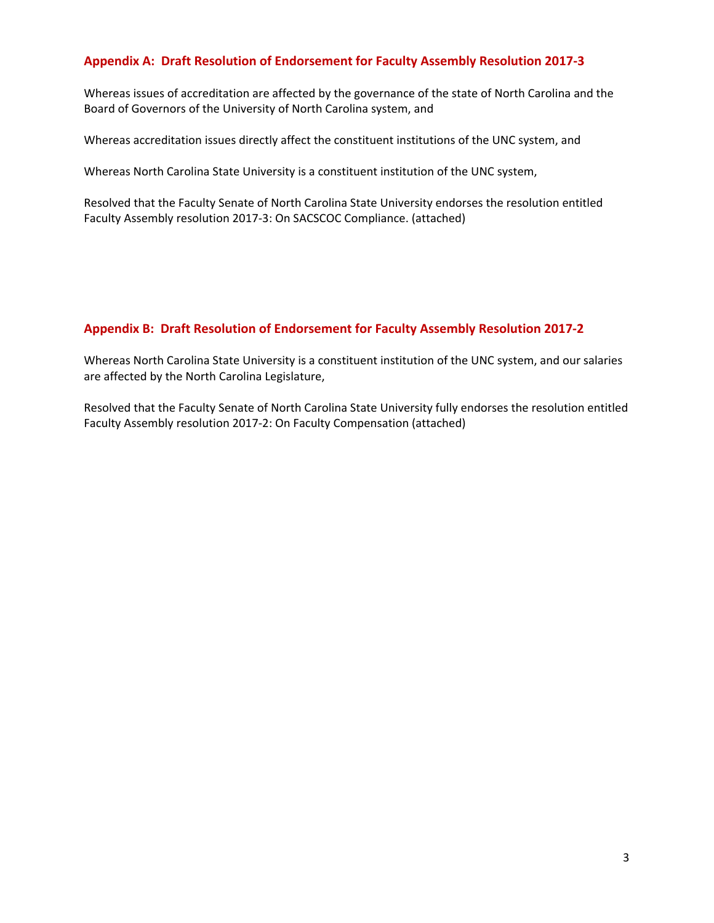#### **Appendix A: Draft Resolution of Endorsement for Faculty Assembly Resolution 2017‐3**

Whereas issues of accreditation are affected by the governance of the state of North Carolina and the Board of Governors of the University of North Carolina system, and

Whereas accreditation issues directly affect the constituent institutions of the UNC system, and

Whereas North Carolina State University is a constituent institution of the UNC system,

Resolved that the Faculty Senate of North Carolina State University endorses the resolution entitled Faculty Assembly resolution 2017‐3: On SACSCOC Compliance. (attached)

#### **Appendix B: Draft Resolution of Endorsement for Faculty Assembly Resolution 2017‐2**

Whereas North Carolina State University is a constituent institution of the UNC system, and our salaries are affected by the North Carolina Legislature,

Resolved that the Faculty Senate of North Carolina State University fully endorses the resolution entitled Faculty Assembly resolution 2017‐2: On Faculty Compensation (attached)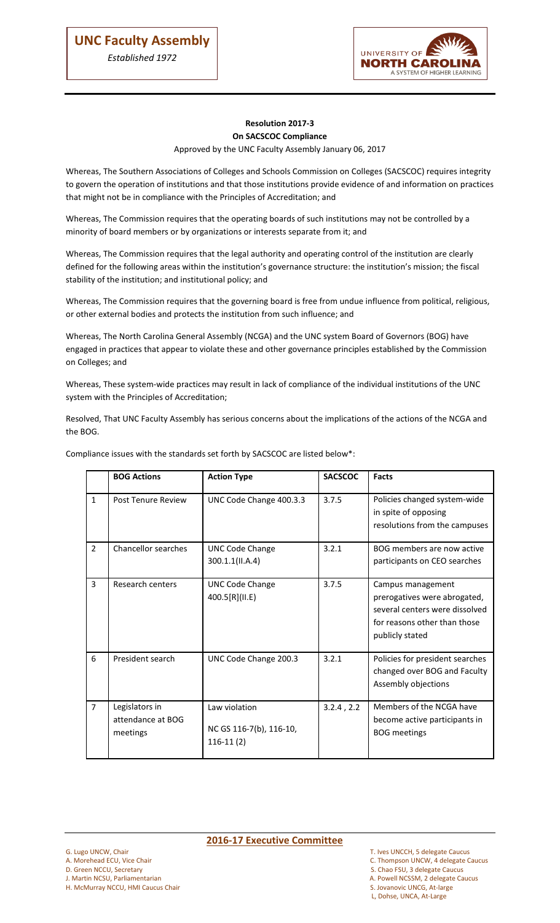ļ



#### **Resolution 2017-3 On SACSCOC Compliance**

#### Approved by the UNC Faculty Assembly January 06, 2017

Whereas, The Southern Associations of Colleges and Schools Commission on Colleges (SACSCOC) requires integrity to govern the operation of institutions and that those institutions provide evidence of and information on practices that might not be in compliance with the Principles of Accreditation; and

Whereas, The Commission requires that the operating boards of such institutions may not be controlled by a minority of board members or by organizations or interests separate from it; and

Whereas, The Commission requires that the legal authority and operating control of the institution are clearly defined for the following areas within the institution's governance structure: the institution's mission; the fiscal stability of the institution; and institutional policy; and

Whereas, The Commission requires that the governing board is free from undue influence from political, religious, or other external bodies and protects the institution from such influence; and

Whereas, The North Carolina General Assembly (NCGA) and the UNC system Board of Governors (BOG) have engaged in practices that appear to violate these and other governance principles established by the Commission on Colleges; and

Whereas, These system-wide practices may result in lack of compliance of the individual institutions of the UNC system with the Principles of Accreditation;

Resolved, That UNC Faculty Assembly has serious concerns about the implications of the actions of the NCGA and the BOG.

|                | <b>BOG Actions</b>                              | <b>Action Type</b>                                      | <b>SACSCOC</b>  | <b>Facts</b>                                                                                                                           |
|----------------|-------------------------------------------------|---------------------------------------------------------|-----------------|----------------------------------------------------------------------------------------------------------------------------------------|
| $\mathbf{1}$   | Post Tenure Review                              | UNC Code Change 400.3.3                                 | 3.7.5           | Policies changed system-wide<br>in spite of opposing<br>resolutions from the campuses                                                  |
| $\overline{2}$ | Chancellor searches                             | <b>UNC Code Change</b><br>300.1.1(II.A.4)               | 3.2.1           | BOG members are now active<br>participants on CEO searches                                                                             |
| 3              | Research centers                                | <b>UNC Code Change</b><br>400.5[R](II.E)                | 3.7.5           | Campus management<br>prerogatives were abrogated,<br>several centers were dissolved<br>for reasons other than those<br>publicly stated |
| 6              | President search                                | UNC Code Change 200.3                                   | 3.2.1           | Policies for president searches<br>changed over BOG and Faculty<br>Assembly objections                                                 |
| $\overline{7}$ | Legislators in<br>attendance at BOG<br>meetings | Law violation<br>NC GS 116-7(b), 116-10,<br>$116-11(2)$ | $3.2.4$ , $2.2$ | Members of the NCGA have<br>become active participants in<br><b>BOG</b> meetings                                                       |

Compliance issues with the standards set forth by SACSCOC are listed below\*:

- 
- D. Green NCCU, Secretary S. Chao FSU, 3 delegate Caucus

H. McMurray NCCU, HMI Caucus Chair

# G. Lugo UNCW, Chair **2016-17 Executive Committee**

- G. Lugo UNCW, Chair Caucus Caucus Communiculum C. Ives UNCCH, 5 delegate Caucus C. Thompson UNCW, 4 delegate C<br>C. Thompson UNCW, 4 delegate C
	- C. Thompson UNCW, 4 delegate Caucus
	-
- J. Martin NCSU, Parliamentarian and Exercise and Solution and Solution and A. Powell NCSSM, 2 delegate Caucus<br>
1. McMurrav NCCU, HMI Caucus Chair and Solution and S. Jovanovic UNCG, At-large
	- L, Dohse, UNCA, At-Large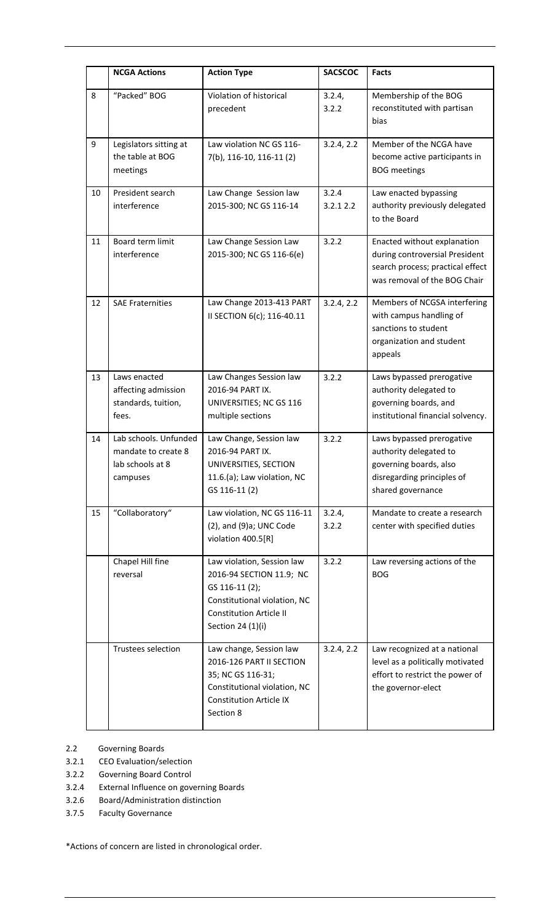|    | <b>NCGA Actions</b>                                                          | <b>Action Type</b>                                                                                                                                              | <b>SACSCOC</b>    | <b>Facts</b>                                                                                                                      |
|----|------------------------------------------------------------------------------|-----------------------------------------------------------------------------------------------------------------------------------------------------------------|-------------------|-----------------------------------------------------------------------------------------------------------------------------------|
| 8  | "Packed" BOG                                                                 | Violation of historical<br>precedent                                                                                                                            | 3.2.4,<br>3.2.2   | Membership of the BOG<br>reconstituted with partisan<br>bias                                                                      |
| 9  | Legislators sitting at<br>the table at BOG<br>meetings                       | Law violation NC GS 116-<br>7(b), 116-10, 116-11 (2)                                                                                                            | 3.2.4, 2.2        | Member of the NCGA have<br>become active participants in<br><b>BOG</b> meetings                                                   |
| 10 | President search<br>interference                                             | Law Change Session law<br>2015-300; NC GS 116-14                                                                                                                | 3.2.4<br>3.2.12.2 | Law enacted bypassing<br>authority previously delegated<br>to the Board                                                           |
| 11 | Board term limit<br>interference                                             | Law Change Session Law<br>2015-300; NC GS 116-6(e)                                                                                                              | 3.2.2             | Enacted without explanation<br>during controversial President<br>search process; practical effect<br>was removal of the BOG Chair |
| 12 | <b>SAE Fraternities</b>                                                      | Law Change 2013-413 PART<br>II SECTION 6(c); 116-40.11                                                                                                          | 3.2.4, 2.2        | Members of NCGSA interfering<br>with campus handling of<br>sanctions to student<br>organization and student<br>appeals            |
| 13 | Laws enacted<br>affecting admission<br>standards, tuition,<br>fees.          | Law Changes Session law<br>2016-94 PART IX.<br>UNIVERSITIES; NC GS 116<br>multiple sections                                                                     | 3.2.2             | Laws bypassed prerogative<br>authority delegated to<br>governing boards, and<br>institutional financial solvency.                 |
| 14 | Lab schools. Unfunded<br>mandate to create 8<br>lab schools at 8<br>campuses | Law Change, Session law<br>2016-94 PART IX.<br>UNIVERSITIES, SECTION<br>11.6.(a); Law violation, NC<br>GS 116-11 (2)                                            | 3.2.2             | Laws bypassed prerogative<br>authority delegated to<br>governing boards, also<br>disregarding principles of<br>shared governance  |
| 15 | "Collaboratory"                                                              | Law violation, NC GS 116-11<br>$(2)$ , and $(9)$ a; UNC Code<br>violation 400.5[R]                                                                              | 3.2.4,<br>3.2.2   | Mandate to create a research<br>center with specified duties                                                                      |
|    | Chapel Hill fine<br>reversal                                                 | Law violation, Session law<br>2016-94 SECTION 11.9; NC<br>GS 116-11 (2);<br>Constitutional violation, NC<br><b>Constitution Article II</b><br>Section 24 (1)(i) | 3.2.2             | Law reversing actions of the<br><b>BOG</b>                                                                                        |
|    | Trustees selection                                                           | Law change, Session law<br>2016-126 PART II SECTION<br>35; NC GS 116-31;<br>Constitutional violation, NC<br><b>Constitution Article IX</b><br>Section 8         | 3.2.4, 2.2        | Law recognized at a national<br>level as a politically motivated<br>effort to restrict the power of<br>the governor-elect         |

- 2.2 Governing Boards
- 3.2.1 CEO Evaluation/selection
- 3.2.2 Governing Board Control
- 3.2.4 External Influence on governing Boards
- 3.2.6 Board/Administration distinction
- 3.7.5 Faculty Governance

\*Actions of concern are listed in chronological order.